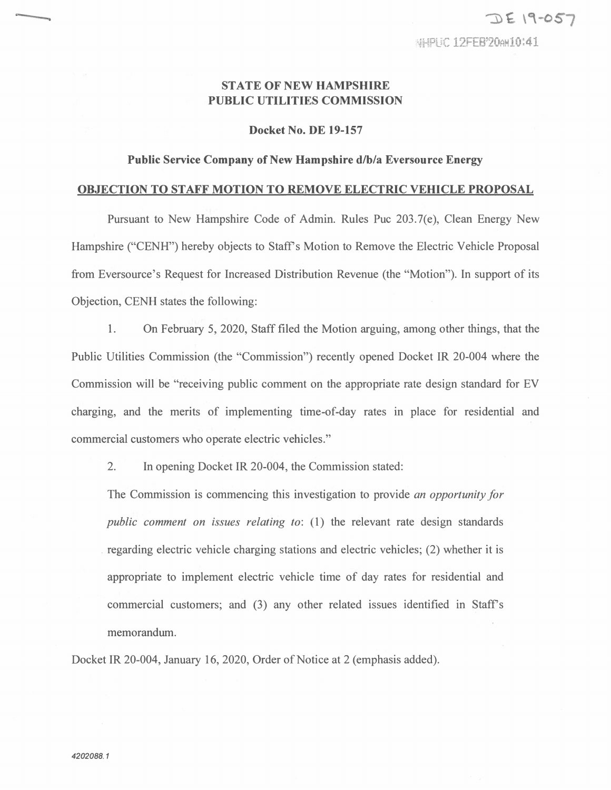## **STATE OF NEW HAMPSHIRE PUBLIC UTILITIES COMMISSION**

## **Docket No. DE 19-157**

## **Public Service Company of New Hampshire d/b/a Eversource Energy**

## **OBJECTION TO STAFF MOTION TO REMOVE ELECTRIC VEHICLE PROPOSAL**

Pursuant to New Hampshire Code of Admin. Rules Puc 203.7(e), Clean Energy New Hampshire ("CENH") hereby objects to Staff's Motion to Remove the Electric Vehicle Proposal from Eversource's Request for Increased Distribution Revenue (the "Motion"). In support of its Objection, CENH states the following:

**1.** On February 5, 2020, Staff filed the Motion arguing, among other things, that the Public Utilities Commission (the "Commission") recently opened Docket IR 20-004 where the Commission will be "receiving public comment on the appropriate rate design standard for EV charging, and the merits of implementing time-of-day rates in place for residential and commercial customers who operate electric vehicles."

2. In opening Docket IR 20-004, the Commission stated:

The Commission is commencing this investigation to provide *an opportunity for public comment on issues relating to:* (1) the relevant rate design standards regarding electric vehicle charging stations and electric vehicles; (2) whether it is appropriate to implement electric vehicle time of day rates for residential and commercial customers; and (3) any other related issues identified in Staff's memorandum.

Docket IR 20-004, January 16, 2020, Order of Notice at 2 (emphasis added).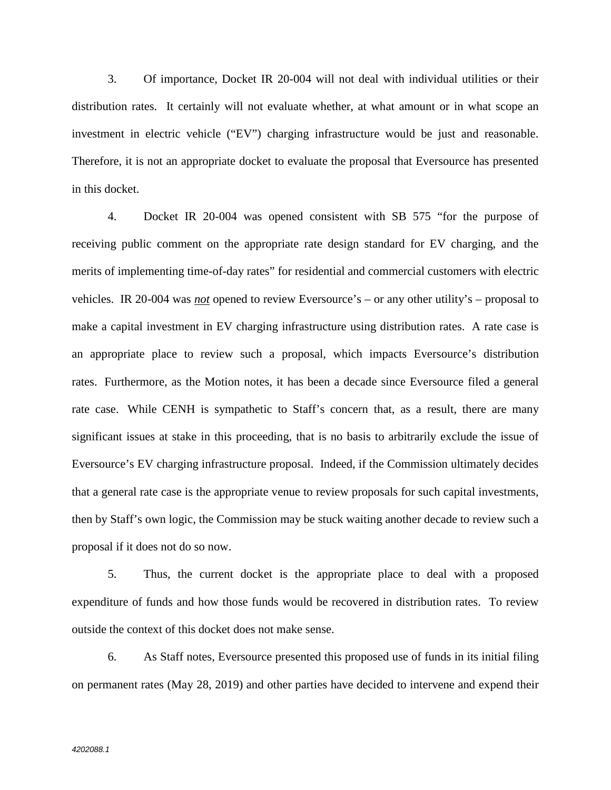3. Of importance, Docket IR 20-004 will not deal with individual utilities or their distribution rates. It certainly will not evaluate whether, at what amount or in what scope an investment in electric vehicle ("EV") charging infrastructure would be just and reasonable. Therefore, it is not an appropriate docket to evaluate the proposal that Eversource has presented in this docket.

4. Docket IR 20-004 was opened consistent with SB 575 "for the purpose of receiving public comment on the appropriate rate design standard for EV charging, and the merits of implementing time-of-day rates" for residential and commercial customers with electric vehicles. IR 20-004 was *not* opened to review Eversource's – or any other utility's – proposal to make a capital investment in EV charging infrastructure using distribution rates. A rate case is an appropriate place to review such a proposal, which impacts Eversource's distribution rates. Furthermore, as the Motion notes, it has been a decade since Eversource filed a general rate case. While CENH is sympathetic to Staff's concern that, as a result, there are many significant issues at stake in this proceeding, that is no basis to arbitrarily exclude the issue of Eversource's EV charging infrastructure proposal. Indeed, if the Commission ultimately decides that a general rate case is the appropriate venue to review proposals for such capital investments, then by Staff's own logic, the Commission may be stuck waiting another decade to review such a proposal if it does not do so now.

5. Thus, the current docket is the appropriate place to deal with a proposed expenditure of funds and how those funds would be recovered in distribution rates. To review outside the context of this docket does not make sense.

6. As Staff notes, Eversource presented this proposed use of funds in its initial filing on permanent rates (May 28, 2019) and other parties have decided to intervene and expend their